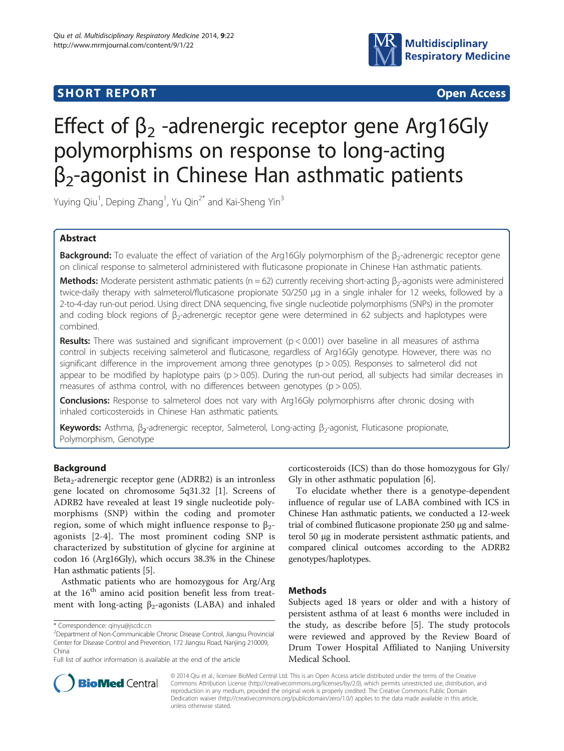## **SHORT REPORT SHORT CONSUMING THE SHORT CONSUMING THE SHORT CONSUMING THE SHORT CONSUMING THE SHORT CONSUMING THE SHORT CONSUMING THE SHORT CONSUMING THE SHORT CONSUMING THE SHORT CONSUMING THE SHORT CONSUMING THE SHORT**



# Effect of  $\beta_2$  -adrenergic receptor gene Arg16Gly polymorphisms on response to long-acting  $\beta_2$ -agonist in Chinese Han asthmatic patients

Yuying Qiu<sup>1</sup>, Deping Zhang<sup>1</sup>, Yu Qin<sup>2\*</sup> and Kai-Sheng Yin<sup>3</sup>

## Abstract

Background: To evaluate the effect of variation of the Arg16Gly polymorphism of the β<sub>2</sub>-adrenergic receptor gene on clinical response to salmeterol administered with fluticasone propionate in Chinese Han asthmatic patients.

Methods: Moderate persistent asthmatic patients (n = 62) currently receiving short-acting  $\beta_2$ -agonists were administered twice-daily therapy with salmeterol/fluticasone propionate 50/250 μg in a single inhaler for 12 weeks, followed by a 2-to-4-day run-out period. Using direct DNA sequencing, five single nucleotide polymorphisms (SNPs) in the promoter and coding block regions of β<sub>2</sub>-adrenergic receptor gene were determined in 62 subjects and haplotypes were combined.

**Results:** There was sustained and significant improvement ( $p < 0.001$ ) over baseline in all measures of asthma control in subjects receiving salmeterol and fluticasone, regardless of Arg16Gly genotype. However, there was no significant difference in the improvement among three genotypes (p > 0.05). Responses to salmeterol did not appear to be modified by haplotype pairs ( $p > 0.05$ ). During the run-out period, all subjects had similar decreases in measures of asthma control, with no differences between genotypes ( $p > 0.05$ ).

**Conclusions:** Response to salmeterol does not vary with Arg16Gly polymorphisms after chronic dosing with inhaled corticosteroids in Chinese Han asthmatic patients.

**Keywords:** Asthma, β<sub>2</sub>-adrenergic receptor, Salmeterol, Long-acting β<sub>2</sub>-agonist, Fluticasone propionate, Polymorphism, Genotype

## Background

Beta<sub>2</sub>-adrenergic receptor gene (ADRB2) is an intronless gene located on chromosome 5q31.32 [\[1](#page-3-0)]. Screens of ADRB2 have revealed at least 19 single nucleotide polymorphisms (SNP) within the coding and promoter region, some of which might influence response to  $β<sub>2</sub>$ agonists [\[2](#page-3-0)-[4](#page-3-0)]. The most prominent coding SNP is characterized by substitution of glycine for arginine at codon 16 (Arg16Gly), which occurs 38.3% in the Chinese Han asthmatic patients [[5](#page-3-0)].

Asthmatic patients who are homozygous for Arg/Arg at the  $16<sup>th</sup>$  amino acid position benefit less from treatment with long-acting  $\beta_2$ -agonists (LABA) and inhaled



To elucidate whether there is a genotype-dependent influence of regular use of LABA combined with ICS in Chinese Han asthmatic patients, we conducted a 12-week trial of combined fluticasone propionate 250 μg and salmeterol 50 μg in moderate persistent asthmatic patients, and compared clinical outcomes according to the ADRB2 genotypes/haplotypes.

## Methods

Subjects aged 18 years or older and with a history of persistent asthma of at least 6 months were included in the study, as describe before [\[5](#page-3-0)]. The study protocols were reviewed and approved by the Review Board of Drum Tower Hospital Affiliated to Nanjing University Medical School.



© 2014 Qiu et al.; licensee BioMed Central Ltd. This is an Open Access article distributed under the terms of the Creative Commons Attribution License [\(http://creativecommons.org/licenses/by/2.0\)](http://creativecommons.org/licenses/by/2.0), which permits unrestricted use, distribution, and reproduction in any medium, provided the original work is properly credited. The Creative Commons Public Domain Dedication waiver [\(http://creativecommons.org/publicdomain/zero/1.0/](http://creativecommons.org/publicdomain/zero/1.0/)) applies to the data made available in this article, unless otherwise stated.

<sup>\*</sup> Correspondence: [qinyu@jscdc.cn](mailto:qinyu@jscdc.cn) <sup>2</sup>

Department of Non-Communicable Chronic Disease Control, Jiangsu Provincial Center for Disease Control and Prevention, 172 Jiangsu Road, Nanjing 210009, China

Full list of author information is available at the end of the article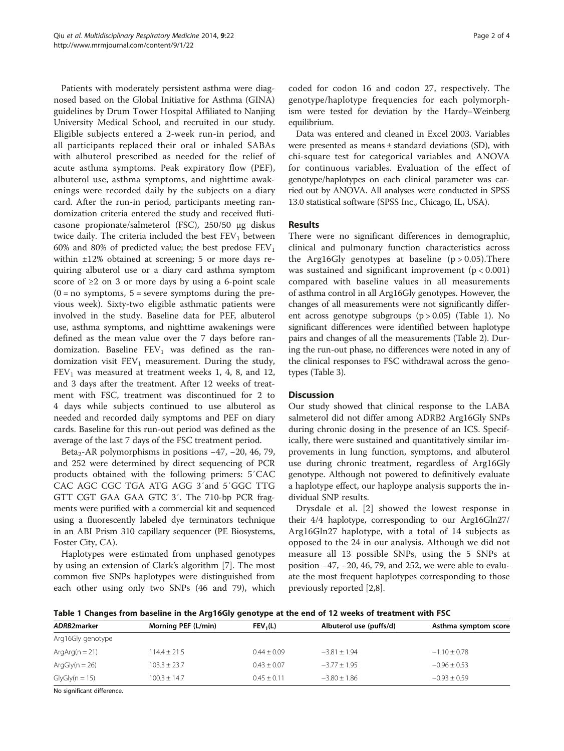Patients with moderately persistent asthma were diagnosed based on the Global Initiative for Asthma (GINA) guidelines by Drum Tower Hospital Affiliated to Nanjing University Medical School, and recruited in our study. Eligible subjects entered a 2-week run-in period, and all participants replaced their oral or inhaled SABAs with albuterol prescribed as needed for the relief of acute asthma symptoms. Peak expiratory flow (PEF), albuterol use, asthma symptoms, and nighttime awakenings were recorded daily by the subjects on a diary card. After the run-in period, participants meeting randomization criteria entered the study and received fluticasone propionate/salmeterol (FSC), 250/50 μg diskus twice daily. The criteria included the best  $FEV<sub>1</sub>$  between 60% and 80% of predicted value; the best predose  $FEV<sub>1</sub>$ within ±12% obtained at screening; 5 or more days requiring albuterol use or a diary card asthma symptom score of  $\geq 2$  on 3 or more days by using a 6-point scale  $(0 = no$  symptoms,  $5 = severe$  symptoms during the previous week). Sixty-two eligible asthmatic patients were involved in the study. Baseline data for PEF, albuterol use, asthma symptoms, and nighttime awakenings were defined as the mean value over the 7 days before randomization. Baseline  $FEV_1$  was defined as the randomization visit  $FEV<sub>1</sub>$  measurement. During the study,  $FEV<sub>1</sub>$  was measured at treatment weeks 1, 4, 8, and 12, and 3 days after the treatment. After 12 weeks of treatment with FSC, treatment was discontinued for 2 to 4 days while subjects continued to use albuterol as needed and recorded daily symptoms and PEF on diary cards. Baseline for this run-out period was defined as the average of the last 7 days of the FSC treatment period.

Beta<sub>2</sub>-AR polymorphisms in positions  $-47$ ,  $-20$ , 46, 79, and 252 were determined by direct sequencing of PCR products obtained with the following primers: 5′CAC CAC AGC CGC TGA ATG AGG 3′and 5′GGC TTG GTT CGT GAA GAA GTC 3′. The 710-bp PCR fragments were purified with a commercial kit and sequenced using a fluorescently labeled dye terminators technique in an ABI Prism 310 capillary sequencer (PE Biosystems, Foster City, CA).

Haplotypes were estimated from unphased genotypes by using an extension of Clark's algorithm [\[7](#page-3-0)]. The most common five SNPs haplotypes were distinguished from each other using only two SNPs (46 and 79), which

coded for codon 16 and codon 27, respectively. The genotype/haplotype frequencies for each polymorphism were tested for deviation by the Hardy–Weinberg equilibrium.

Data was entered and cleaned in Excel 2003. Variables were presented as means  $\pm$  standard deviations (SD), with chi-square test for categorical variables and ANOVA for continuous variables. Evaluation of the effect of genotype/haplotypes on each clinical parameter was carried out by ANOVA. All analyses were conducted in SPSS 13.0 statistical software (SPSS Inc., Chicago, IL, USA).

## Results

There were no significant differences in demographic, clinical and pulmonary function characteristics across the Arg16Gly genotypes at baseline  $(p > 0.05)$ . There was sustained and significant improvement  $(p < 0.001)$ compared with baseline values in all measurements of asthma control in all Arg16Gly genotypes. However, the changes of all measurements were not significantly different across genotype subgroups  $(p > 0.05)$  (Table 1). No significant differences were identified between haplotype pairs and changes of all the measurements (Table [2](#page-2-0)). During the run-out phase, no differences were noted in any of the clinical responses to FSC withdrawal across the genotypes (Table [3](#page-2-0)).

## **Discussion**

Our study showed that clinical response to the LABA salmeterol did not differ among ADRB2 Arg16Gly SNPs during chronic dosing in the presence of an ICS. Specifically, there were sustained and quantitatively similar improvements in lung function, symptoms, and albuterol use during chronic treatment, regardless of Arg16Gly genotype. Although not powered to definitively evaluate a haplotype effect, our haploype analysis supports the individual SNP results.

Drysdale et al. [\[2](#page-3-0)] showed the lowest response in their 4/4 haplotype, corresponding to our Arg16Gln27/ Arg16Gln27 haplotype, with a total of 14 subjects as opposed to the 24 in our analysis. Although we did not measure all 13 possible SNPs, using the 5 SNPs at position −47, −20, 46, 79, and 252, we were able to evaluate the most frequent haplotypes corresponding to those previously reported [\[2](#page-3-0),[8](#page-3-0)].

Table 1 Changes from baseline in the Arg16Gly genotype at the end of 12 weeks of treatment with FSC

| ADRB2marker                                                                                                                                                                                                                                                                                                 | Morning PEF (L/min) | FEV <sub>1</sub> (L) | Albuterol use (puffs/d) | Asthma symptom score |
|-------------------------------------------------------------------------------------------------------------------------------------------------------------------------------------------------------------------------------------------------------------------------------------------------------------|---------------------|----------------------|-------------------------|----------------------|
| Arg16Gly genotype                                                                                                                                                                                                                                                                                           |                     |                      |                         |                      |
| $ArgArg(n = 21)$                                                                                                                                                                                                                                                                                            | $114.4 \pm 21.5$    | $0.44 + 0.09$        | $-3.81 \pm 1.94$        | $-1.10 \pm 0.78$     |
| $ArgGly(n = 26)$                                                                                                                                                                                                                                                                                            | $103.3 \pm 23.7$    | $0.43 + 0.07$        | $-3.77 + 1.95$          | $-0.96 + 0.53$       |
| $GlyGly(n = 15)$                                                                                                                                                                                                                                                                                            | $100.3 + 14.7$      | $0.45 + 0.11$        | $-3.80 + 1.86$          | $-0.93 + 0.59$       |
| $\mathbf{r}$ , $\mathbf{r}$ , $\mathbf{r}$ , $\mathbf{r}$ , $\mathbf{r}$ , $\mathbf{r}$ , $\mathbf{r}$ , $\mathbf{r}$ , $\mathbf{r}$ , $\mathbf{r}$ , $\mathbf{r}$ , $\mathbf{r}$ , $\mathbf{r}$ , $\mathbf{r}$ , $\mathbf{r}$ , $\mathbf{r}$ , $\mathbf{r}$ , $\mathbf{r}$ , $\mathbf{r}$ , $\mathbf{r}$ , |                     |                      |                         |                      |

No significant difference.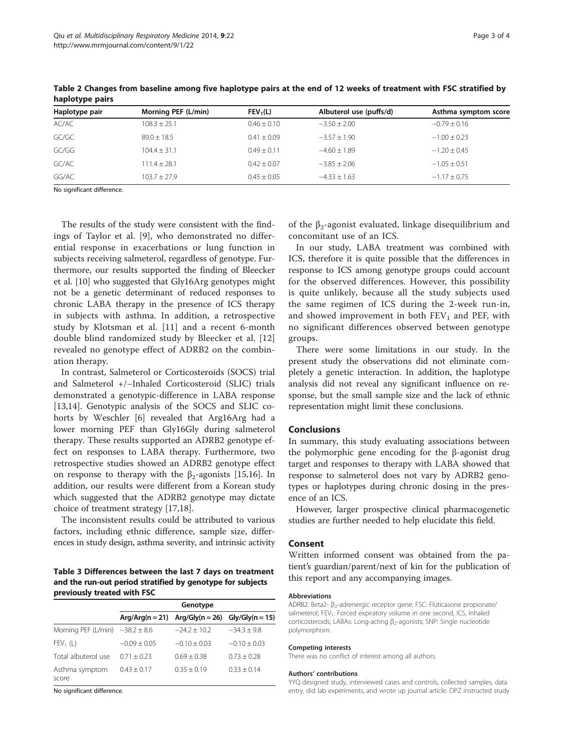| Haplotype pair | Morning PEF (L/min) | FEV <sub>1</sub> (L) | Albuterol use (puffs/d) | Asthma symptom score |
|----------------|---------------------|----------------------|-------------------------|----------------------|
| AC/AC          | $108.3 + 25.1$      | $0.46 + 0.10$        | $-3.50 \pm 2.00$        | $-0.79 \pm 0.16$     |
| GC/GC          | $89.0 + 18.5$       | $0.41 \pm 0.09$      | $-3.57 + 1.90$          | $-1.00 \pm 0.23$     |
| GC/GG          | $104.4 + 31.1$      | $0.49 + 0.11$        | $-4.60 + 1.89$          | $-1.20 + 0.45$       |
| GC/AC          | $111.4 + 28.1$      | $0.42 + 0.07$        | $-3.85 + 2.06$          | $-1.05 + 0.51$       |
| GG/AC          | $103.7 + 27.9$      | $0.45 \pm 0.05$      | $-4.33 + 1.63$          | $-1.17 + 0.75$       |

<span id="page-2-0"></span>Table 2 Changes from baseline among five haplotype pairs at the end of 12 weeks of treatment with FSC stratified by haplotype pairs

No significant difference.

The results of the study were consistent with the findings of Taylor et al. [[9\]](#page-3-0), who demonstrated no differential response in exacerbations or lung function in subjects receiving salmeterol, regardless of genotype. Furthermore, our results supported the finding of Bleecker et al. [[10](#page-3-0)] who suggested that Gly16Arg genotypes might not be a genetic determinant of reduced responses to chronic LABA therapy in the presence of ICS therapy in subjects with asthma. In addition, a retrospective study by Klotsman et al. [[11\]](#page-3-0) and a recent 6-month double blind randomized study by Bleecker et al. [\[12](#page-3-0)] revealed no genotype effect of ADRB2 on the combination therapy.

In contrast, Salmeterol or Corticosteroids (SOCS) trial and Salmeterol +/−Inhaled Corticosteroid (SLIC) trials demonstrated a genotypic-difference in LABA response [[13,14\]](#page-3-0). Genotypic analysis of the SOCS and SLIC cohorts by Weschler [\[6](#page-3-0)] revealed that Arg16Arg had a lower morning PEF than Gly16Gly during salmeterol therapy. These results supported an ADRB2 genotype effect on responses to LABA therapy. Furthermore, two retrospective studies showed an ADRB2 genotype effect on response to therapy with the  $\beta_2$ -agonists [[15](#page-3-0),[16](#page-3-0)]. In addition, our results were different from a Korean study which suggested that the ADRB2 genotype may dictate choice of treatment strategy [[17](#page-3-0),[18](#page-3-0)].

The inconsistent results could be attributed to various factors, including ethnic difference, sample size, differences in study design, asthma severity, and intrinsic activity

Table 3 Differences between the last 7 days on treatment and the run-out period stratified by genotype for subjects previously treated with FSC

|                                     | Genotype       |                                                       |                |  |
|-------------------------------------|----------------|-------------------------------------------------------|----------------|--|
|                                     |                | $Arg/Arg(n = 21)$ $Arg/Gly(n = 26)$ $Gly/Gly(n = 15)$ |                |  |
| Morning PEF (L/min) $-38.2 \pm 8.6$ |                | $-24.2 + 10.2$                                        | $-34.3 + 9.8$  |  |
| $FEV_1(L)$                          | $-0.09 + 0.05$ | $-0.10 + 0.03$                                        | $-0.10 + 0.03$ |  |
| Total albuterol use                 | $0.71 + 0.23$  | $0.69 + 0.38$                                         | $0.73 + 0.28$  |  |
| Asthma symptom<br>score             | $0.43 + 0.17$  | $0.35 + 0.19$                                         | $0.33 + 0.14$  |  |

No significant difference.

of the  $\beta_2$ -agonist evaluated, linkage disequilibrium and concomitant use of an ICS.

In our study, LABA treatment was combined with ICS, therefore it is quite possible that the differences in response to ICS among genotype groups could account for the observed differences. However, this possibility is quite unlikely, because all the study subjects used the same regimen of ICS during the 2-week run-in, and showed improvement in both  $FEV<sub>1</sub>$  and PEF, with no significant differences observed between genotype groups.

There were some limitations in our study. In the present study the observations did not eliminate completely a genetic interaction. In addition, the haplotype analysis did not reveal any significant influence on response, but the small sample size and the lack of ethnic representation might limit these conclusions.

## Conclusions

In summary, this study evaluating associations between the polymorphic gene encoding for the β-agonist drug target and responses to therapy with LABA showed that response to salmeterol does not vary by ADRB2 genotypes or haplotypes during chronic dosing in the presence of an ICS.

However, larger prospective clinical pharmacogenetic studies are further needed to help elucidate this field.

## Consent

Written informed consent was obtained from the patient's guardian/parent/next of kin for the publication of this report and any accompanying images.

#### Abbreviations

ADRB2: Beta2- β<sub>2</sub>-adrenergic receptor gene; FSC: Fluticasone propionate/ salmeterol; FEV<sub>1</sub>: Forced expiratory volume in one second, ICS, Inhaled corticosteroids; LABAs: Long-acting β<sub>2</sub>-agonists; SNP: Single nucleotide polymorphism.

#### Competing interests

There was no conflict of interest among all authors.

#### Authors' contributions

YYQ designed study, interviewed cases and controls, collected samples, data entry, did lab experiments, and wrote up journal article. DPZ instructed study